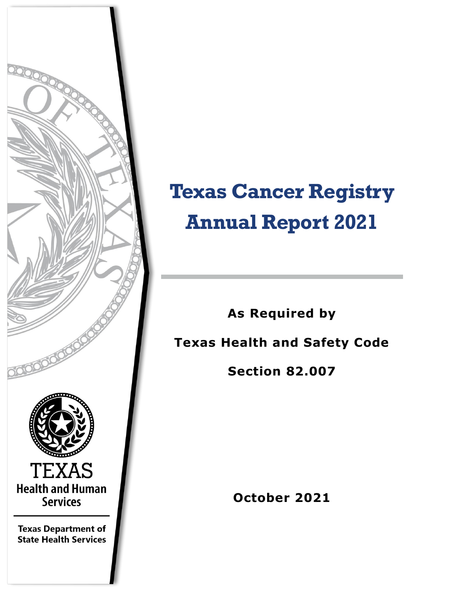

# **Texas Cancer Registry Annual Report 2021**

**As Required by Texas Health and Safety Code** 

**Section 82.007**

**October 2021**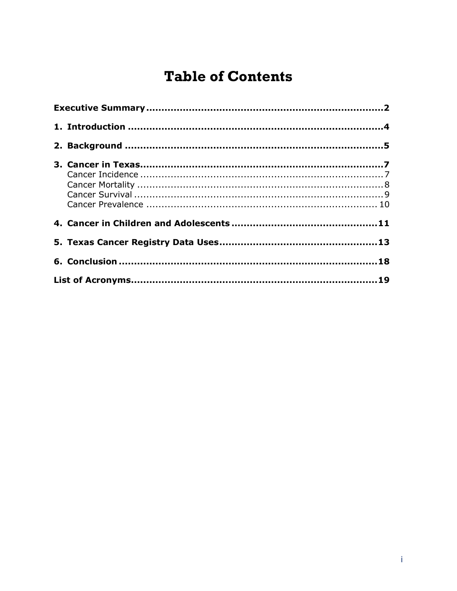# **Table of Contents**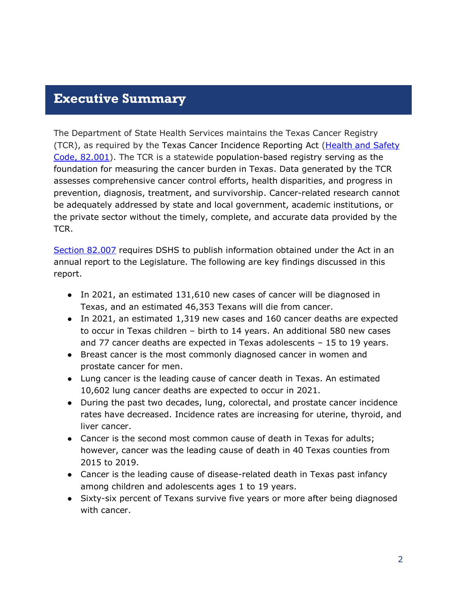#### <span id="page-2-0"></span>**Executive Summary**

The Department of State Health Services maintains the Texas Cancer Registry (TCR), as required by the Texas Cancer Incidence Reporting Act [\(Health and Safety](https://statutes.capitol.texas.gov/Docs/HS/htm/HS.82.htm)  [Code, 82.001\)](https://statutes.capitol.texas.gov/Docs/HS/htm/HS.82.htm). The TCR is a statewide population-based registry serving as the foundation for measuring the cancer burden in Texas. Data generated by the TCR assesses comprehensive cancer control efforts, health disparities, and progress in prevention, diagnosis, treatment, and survivorship. Cancer-related research cannot be adequately addressed by state and local government, academic institutions, or the private sector without the timely, complete, and accurate data provided by the TCR.

[Section 82.007](https://statutes.capitol.texas.gov/Docs/HS/htm/HS.82.htm) requires DSHS to publish information obtained under the Act in an annual report to the Legislature. The following are key findings discussed in this report.

- In 2021, an estimated 131,610 new cases of cancer will be diagnosed in Texas, and an estimated 46,353 Texans will die from cancer.
- In 2021, an estimated 1,319 new cases and 160 cancer deaths are expected to occur in Texas children – birth to 14 years. An additional 580 new cases and 77 cancer deaths are expected in Texas adolescents – 15 to 19 years.
- Breast cancer is the most commonly diagnosed cancer in women and prostate cancer for men.
- Lung cancer is the leading cause of cancer death in Texas. An estimated 10,602 lung cancer deaths are expected to occur in 2021.
- During the past two decades, lung, colorectal, and prostate cancer incidence rates have decreased. Incidence rates are increasing for uterine, thyroid, and liver cancer.
- Cancer is the second most common cause of death in Texas for adults; however, cancer was the leading cause of death in 40 Texas counties from 2015 to 2019.
- Cancer is the leading cause of disease-related death in Texas past infancy among children and adolescents ages 1 to 19 years.
- Sixty-six percent of Texans survive five years or more after being diagnosed with cancer.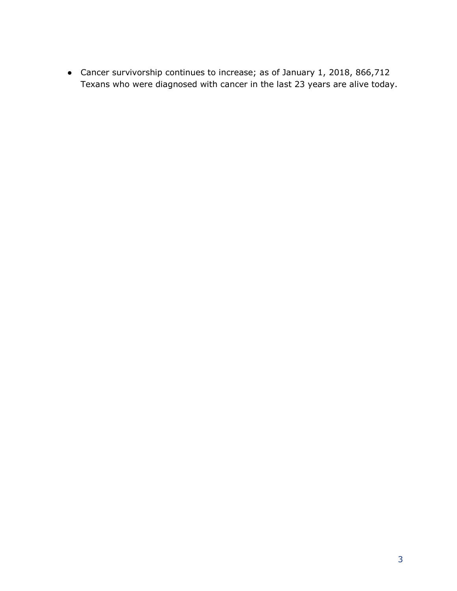● Cancer survivorship continues to increase; as of January 1, 2018, 866,712 Texans who were diagnosed with cancer in the last 23 years are alive today.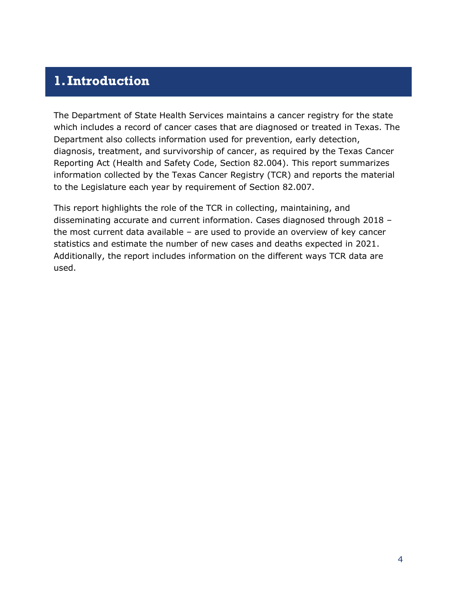### <span id="page-4-0"></span>**1.Introduction**

The Department of State Health Services maintains a cancer registry for the state which includes a record of cancer cases that are diagnosed or treated in Texas. The Department also collects information used for prevention, early detection, diagnosis, treatment, and survivorship of cancer, as required by the Texas Cancer Reporting Act (Health and Safety Code, Section 82.004). This report summarizes information collected by the Texas Cancer Registry (TCR) and reports the material to the Legislature each year by requirement of Section 82.007.

This report highlights the role of the TCR in collecting, maintaining, and disseminating accurate and current information. Cases diagnosed through 2018 – the most current data available – are used to provide an overview of key cancer statistics and estimate the number of new cases and deaths expected in 2021. Additionally, the report includes information on the different ways TCR data are used.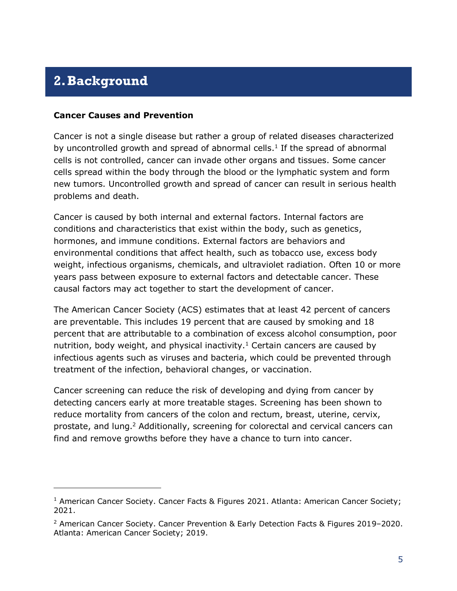### <span id="page-5-0"></span>**2.Background**

#### **Cancer Causes and Prevention**

<span id="page-5-1"></span>Cancer is not a single disease but rather a group of related diseases characterized by uncontrolled growth and spread of abnormal cells. $<sup>1</sup>$  If the spread of abnormal</sup> cells is not controlled, cancer can invade other organs and tissues. Some cancer cells spread within the body through the blood or the lymphatic system and form new tumors. Uncontrolled growth and spread of cancer can result in serious health problems and death.

Cancer is caused by both internal and external factors. Internal factors are conditions and characteristics that exist within the body, such as genetics, hormones, and immune conditions. External factors are behaviors and environmental conditions that affect health, such as tobacco use, excess body weight, infectious organisms, chemicals, and ultraviolet radiation. Often 10 or more years pass between exposure to external factors and detectable cancer. These causal factors may act together to start the development of cancer.

The American Cancer Society (ACS) estimates that at least 42 percent of cancers are preventable. This includes 19 percent that are caused by smoking and 18 percent that are attributable to a combination of excess alcohol consumption, poor nutrition, body weight, and physical inactivity.<sup>[1](#page-5-1)</sup> Certain cancers are caused by infectious agents such as viruses and bacteria, which could be prevented through treatment of the infection, behavioral changes, or vaccination.

Cancer screening can reduce the risk of developing and dying from cancer by detecting cancers early at more treatable stages. Screening has been shown to reduce mortality from cancers of the colon and rectum, breast, uterine, cervix, prostate, and lung.<sup>2</sup> Additionally, screening for colorectal and cervical cancers can find and remove growths before they have a chance to turn into cancer.

<sup>&</sup>lt;sup>1</sup> American Cancer Society. Cancer Facts & Figures 2021. Atlanta: American Cancer Society; 2021.

<sup>&</sup>lt;sup>2</sup> American Cancer Society. Cancer Prevention & Early Detection Facts & Figures 2019–2020. Atlanta: American Cancer Society; 2019.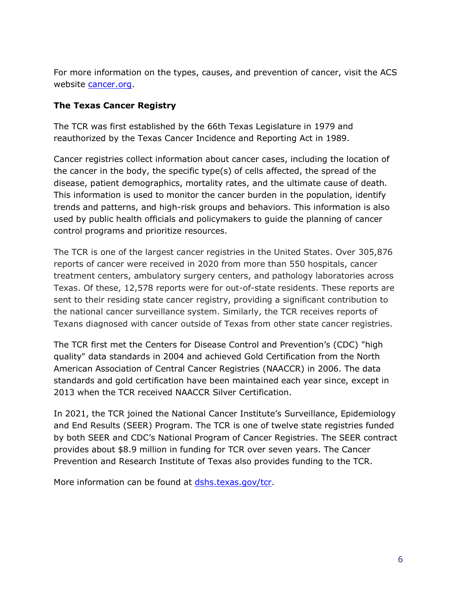For more information on the types, causes, and prevention of cancer, visit the ACS website [cancer.org.](https://www.cancer.org/)

#### **The Texas Cancer Registry**

The TCR was first established by the 66th Texas Legislature in 1979 and reauthorized by the Texas Cancer Incidence and Reporting Act in 1989.

Cancer registries collect information about cancer cases, including the location of the cancer in the body, the specific type(s) of cells affected, the spread of the disease, patient demographics, mortality rates, and the ultimate cause of death. This information is used to monitor the cancer burden in the population, identify trends and patterns, and high-risk groups and behaviors. This information is also used by public health officials and policymakers to guide the planning of cancer control programs and prioritize resources.

The TCR is one of the largest cancer registries in the United States. Over 305,876 reports of cancer were received in 2020 from more than 550 hospitals, cancer treatment centers, ambulatory surgery centers, and pathology laboratories across Texas. Of these, 12,578 reports were for out-of-state residents. These reports are sent to their residing state cancer registry, providing a significant contribution to the national cancer surveillance system. Similarly, the TCR receives reports of Texans diagnosed with cancer outside of Texas from other state cancer registries.

The TCR first met the Centers for Disease Control and Prevention's (CDC) "high quality" data standards in 2004 and achieved Gold Certification from the North American Association of Central Cancer Registries (NAACCR) in 2006. The data standards and gold certification have been maintained each year since, except in 2013 when the TCR received NAACCR Silver Certification.

In 2021, the TCR joined the National Cancer Institute's Surveillance, Epidemiology and End Results (SEER) Program. The TCR is one of twelve state registries funded by both SEER and CDC's National Program of Cancer Registries. The SEER contract provides about \$8.9 million in funding for TCR over seven years. The Cancer Prevention and Research Institute of Texas also provides funding to the TCR.

More information can be found at [dshs.texas.gov/tcr.](https://www.dshs.texas.gov/tcr/)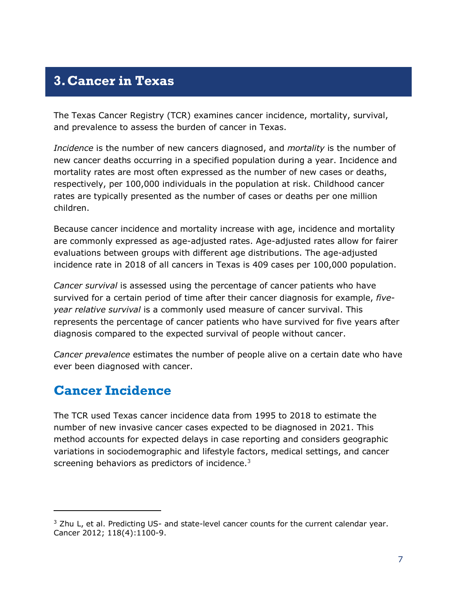### <span id="page-7-0"></span>**3.Cancer in Texas**

The Texas Cancer Registry (TCR) examines cancer incidence, mortality, survival, and prevalence to assess the burden of cancer in Texas.

*Incidence* is the number of new cancers diagnosed, and *mortality* is the number of new cancer deaths occurring in a specified population during a year. Incidence and mortality rates are most often expressed as the number of new cases or deaths, respectively, per 100,000 individuals in the population at risk. Childhood cancer rates are typically presented as the number of cases or deaths per one million children.

Because cancer incidence and mortality increase with age, incidence and mortality are commonly expressed as age-adjusted rates. Age-adjusted rates allow for fairer evaluations between groups with different age distributions. The age-adjusted incidence rate in 2018 of all cancers in Texas is 409 cases per 100,000 population.

*Cancer survival* is assessed using the percentage of cancer patients who have survived for a certain period of time after their cancer diagnosis for example, *fiveyear relative survival* is a commonly used measure of cancer survival. This represents the percentage of cancer patients who have survived for five years after diagnosis compared to the expected survival of people without cancer.

*Cancer prevalence* estimates the number of people alive on a certain date who have ever been diagnosed with cancer.

### <span id="page-7-1"></span>**Cancer Incidence**

The TCR used Texas cancer incidence data from 1995 to 2018 to estimate the number of new invasive cancer cases expected to be diagnosed in 2021. This method accounts for expected delays in case reporting and considers geographic variations in sociodemographic and lifestyle factors, medical settings, and cancer screening behaviors as predictors of incidence.<sup>3</sup>

 $3$  Zhu L, et al. Predicting US- and state-level cancer counts for the current calendar year. Cancer 2012; 118(4):1100-9.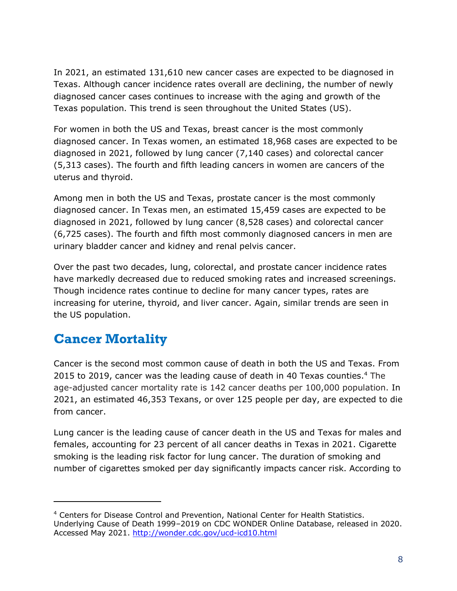In 2021, an estimated 131,610 new cancer cases are expected to be diagnosed in Texas. Although cancer incidence rates overall are declining, the number of newly diagnosed cancer cases continues to increase with the aging and growth of the Texas population. This trend is seen throughout the United States (US).

For women in both the US and Texas, breast cancer is the most commonly diagnosed cancer. In Texas women, an estimated 18,968 cases are expected to be diagnosed in 2021, followed by lung cancer (7,140 cases) and colorectal cancer (5,313 cases). The fourth and fifth leading cancers in women are cancers of the uterus and thyroid.

Among men in both the US and Texas, prostate cancer is the most commonly diagnosed cancer. In Texas men, an estimated 15,459 cases are expected to be diagnosed in 2021, followed by lung cancer (8,528 cases) and colorectal cancer (6,725 cases). The fourth and fifth most commonly diagnosed cancers in men are urinary bladder cancer and kidney and renal pelvis cancer.

Over the past two decades, lung, colorectal, and prostate cancer incidence rates have markedly decreased due to reduced smoking rates and increased screenings. Though incidence rates continue to decline for many cancer types, rates are increasing for uterine, thyroid, and liver cancer. Again, similar trends are seen in the US population.

### <span id="page-8-0"></span>**Cancer Mortality**

Cancer is the second most common cause of death in both the US and Texas. From 2015 to 2019, cancer was the leading cause of death in 40 Texas counties.<sup>4</sup> The age-adjusted cancer mortality rate is 142 cancer deaths per 100,000 population. In 2021, an estimated 46,353 Texans, or over 125 people per day, are expected to die from cancer.

Lung cancer is the leading cause of cancer death in the US and Texas for males and females, accounting for 23 percent of all cancer deaths in Texas in 2021. Cigarette smoking is the leading risk factor for lung cancer. The duration of smoking and number of cigarettes smoked per day significantly impacts cancer risk. According to

<sup>4</sup> Centers for Disease Control and Prevention, National Center for Health Statistics. Underlying Cause of Death 1999–2019 on CDC WONDER Online Database, released in 2020. Accessed May 2021.<http://wonder.cdc.gov/ucd-icd10.html>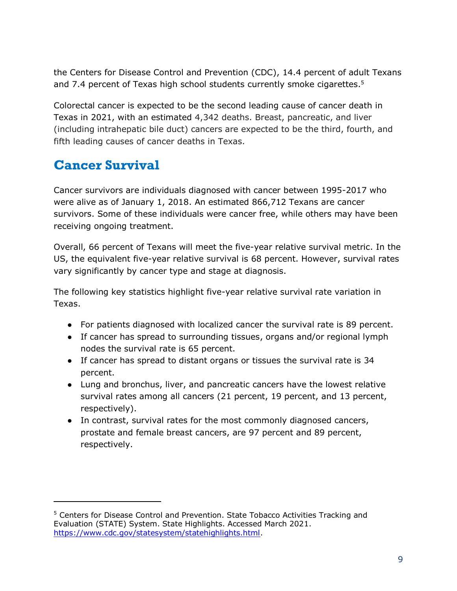the Centers for Disease Control and Prevention (CDC), 14.4 percent of adult Texans and 7.4 percent of Texas high school students currently smoke cigarettes.<sup>5</sup>

Colorectal cancer is expected to be the second leading cause of cancer death in Texas in 2021, with an estimated 4,342 deaths. Breast, pancreatic, and liver (including intrahepatic bile duct) cancers are expected to be the third, fourth, and fifth leading causes of cancer deaths in Texas.

### <span id="page-9-0"></span>**Cancer Survival**

Cancer survivors are individuals diagnosed with cancer between 1995-2017 who were alive as of January 1, 2018. An estimated 866,712 Texans are cancer survivors. Some of these individuals were cancer free, while others may have been receiving ongoing treatment.

Overall, 66 percent of Texans will meet the five-year relative survival metric. In the US, the equivalent five-year relative survival is 68 percent. However, survival rates vary significantly by cancer type and stage at diagnosis.

The following key statistics highlight five-year relative survival rate variation in Texas.

- For patients diagnosed with localized cancer the survival rate is 89 percent.
- If cancer has spread to surrounding tissues, organs and/or regional lymph nodes the survival rate is 65 percent.
- If cancer has spread to distant organs or tissues the survival rate is 34 percent.
- Lung and bronchus, liver, and pancreatic cancers have the lowest relative survival rates among all cancers (21 percent, 19 percent, and 13 percent, respectively).
- In contrast, survival rates for the most commonly diagnosed cancers, prostate and female breast cancers, are 97 percent and 89 percent, respectively.

<sup>5</sup> Centers for Disease Control and Prevention. State Tobacco Activities Tracking and Evaluation (STATE) System. State Highlights. Accessed March 2021. [https://www.cdc.gov/statesystem/statehighlights.html.](https://www.cdc.gov/statesystem/statehighlights.html)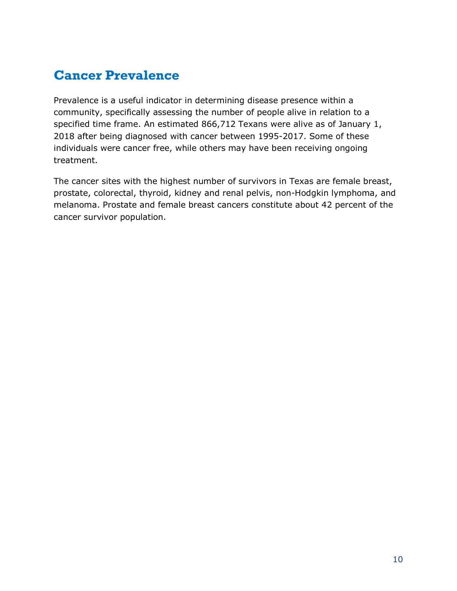### <span id="page-10-0"></span>**Cancer Prevalence**

Prevalence is a useful indicator in determining disease presence within a community, specifically assessing the number of people alive in relation to a specified time frame. An estimated 866,712 Texans were alive as of January 1, 2018 after being diagnosed with cancer between 1995-2017. Some of these individuals were cancer free, while others may have been receiving ongoing treatment.

The cancer sites with the highest number of survivors in Texas are female breast, prostate, colorectal, thyroid, kidney and renal pelvis, non-Hodgkin lymphoma, and melanoma. Prostate and female breast cancers constitute about 42 percent of the cancer survivor population.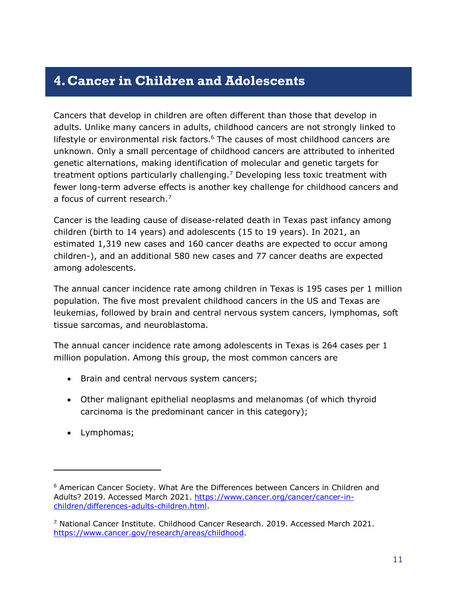### <span id="page-11-0"></span>**4.Cancer in Children and Adolescents**

Cancers that develop in children are often different than those that develop in adults. Unlike many cancers in adults, childhood cancers are not strongly linked to lifestyle or environmental risk factors. $6$  The causes of most childhood cancers are unknown. Only a small percentage of childhood cancers are attributed to inherited genetic alternations, making identification of molecular and genetic targets for treatment options particularly challenging. <sup>7</sup> Developing less toxic treatment with fewer long-term adverse effects is another key challenge for childhood cancers and a focus of current research.<sup>7</sup>

Cancer is the leading cause of disease-related death in Texas past infancy among children (birth to 14 years) and adolescents (15 to 19 years). In 2021, an estimated 1,319 new cases and 160 cancer deaths are expected to occur among children-), and an additional 580 new cases and 77 cancer deaths are expected among adolescents.

The annual cancer incidence rate among children in Texas is 195 cases per 1 million population. The five most prevalent childhood cancers in the US and Texas are leukemias, followed by brain and central nervous system cancers, lymphomas, soft tissue sarcomas, and neuroblastoma.

The annual cancer incidence rate among adolescents in Texas is 264 cases per 1 million population. Among this group, the most common cancers are

- Brain and central nervous system cancers;
- Other malignant epithelial neoplasms and melanomas (of which thyroid carcinoma is the predominant cancer in this category);
- Lymphomas;

 $6$  American Cancer Society. What Are the Differences between Cancers in Children and Adults? 2019. Accessed March 2021. [https://www.cancer.org/cancer/cancer-in](https://www.cancer.org/cancer/cancer-in-children/differences-adults-children.html)[children/differences-adults-children.html.](https://www.cancer.org/cancer/cancer-in-children/differences-adults-children.html)

 $^7$  National Cancer Institute. Childhood Cancer Research. 2019. Accessed March 2021. [https://www.cancer.gov/research/areas/childhood.](https://www.cancer.gov/research/areas/childhood)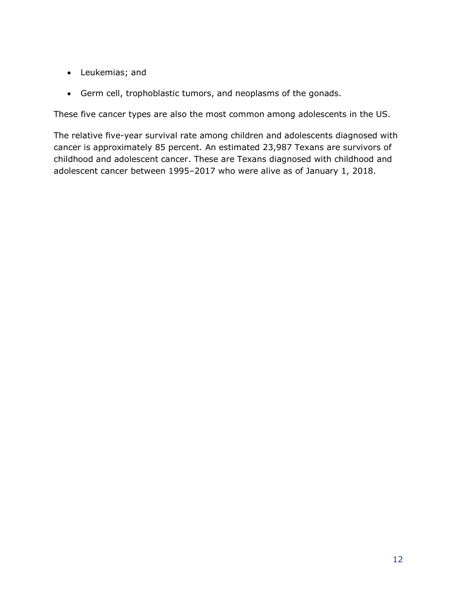- Leukemias; and
- Germ cell, trophoblastic tumors, and neoplasms of the gonads.

These five cancer types are also the most common among adolescents in the US.

The relative five-year survival rate among children and adolescents diagnosed with cancer is approximately 85 percent. An estimated 23,987 Texans are survivors of childhood and adolescent cancer. These are Texans diagnosed with childhood and adolescent cancer between 1995–2017 who were alive as of January 1, 2018.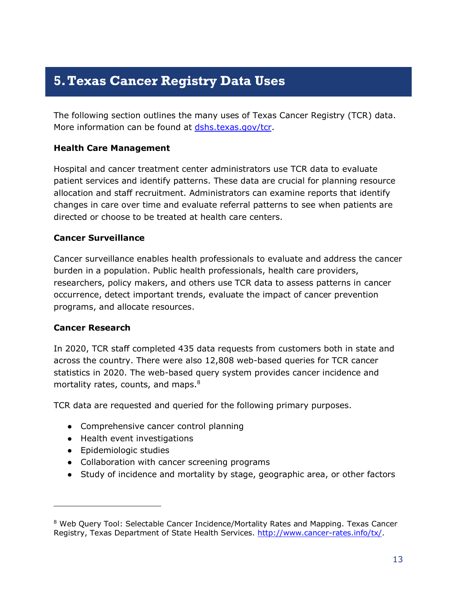### <span id="page-13-0"></span>**5.Texas Cancer Registry Data Uses**

The following section outlines the many uses of Texas Cancer Registry (TCR) data. More information can be found at [dshs.texas.gov/tcr.](https://www.dshs.texas.gov/tcr/)

#### **Health Care Management**

Hospital and cancer treatment center administrators use TCR data to evaluate patient services and identify patterns. These data are crucial for planning resource allocation and staff recruitment. Administrators can examine reports that identify changes in care over time and evaluate referral patterns to see when patients are directed or choose to be treated at health care centers.

#### **Cancer Surveillance**

Cancer surveillance enables health professionals to evaluate and address the cancer burden in a population. Public health professionals, health care providers, researchers, policy makers, and others use TCR data to assess patterns in cancer occurrence, detect important trends, evaluate the impact of cancer prevention programs, and allocate resources.

#### **Cancer Research**

In 2020, TCR staff completed 435 data requests from customers both in state and across the country. There were also 12,808 web-based queries for TCR cancer statistics in 2020. The web-based query system provides cancer incidence and mortality rates, counts, and maps.<sup>8</sup>

TCR data are requested and queried for the following primary purposes.

- Comprehensive cancer control planning
- Health event investigations
- Epidemiologic studies
- Collaboration with cancer screening programs
- Study of incidence and mortality by stage, geographic area, or other factors

<sup>&</sup>lt;sup>8</sup> Web Query Tool: Selectable Cancer Incidence/Mortality Rates and Mapping. Texas Cancer Registry, Texas Department of State Health Services. [http://www.cancer-rates.info/tx/.](http://www.cancer-rates.info/tx/)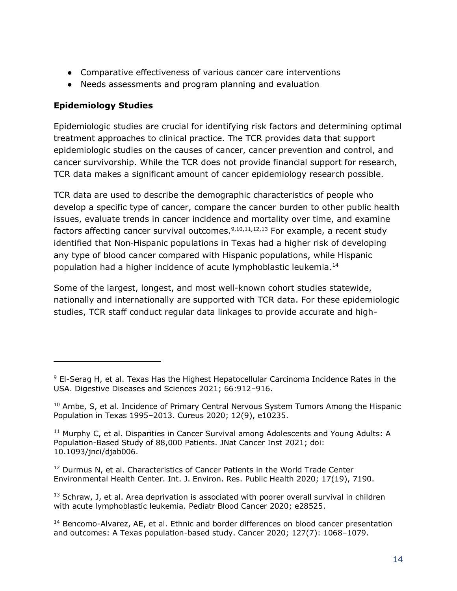- Comparative effectiveness of various cancer care interventions
- Needs assessments and program planning and evaluation

#### **Epidemiology Studies**

Epidemiologic studies are crucial for identifying risk factors and determining optimal treatment approaches to clinical practice. The TCR provides data that support epidemiologic studies on the causes of cancer, cancer prevention and control, and cancer survivorship. While the TCR does not provide financial support for research, TCR data makes a significant amount of cancer epidemiology research possible.

TCR data are used to describe the demographic characteristics of people who develop a specific type of cancer, compare the cancer burden to other public health issues, evaluate trends in cancer incidence and mortality over time, and examine factors affecting cancer survival outcomes.<sup>9,10,11,12,13</sup> For example, a recent study identified that Non‐Hispanic populations in Texas had a higher risk of developing any type of blood cancer compared with Hispanic populations, while Hispanic population had a higher incidence of acute lymphoblastic leukemia. 14

Some of the largest, longest, and most well-known cohort studies statewide, nationally and internationally are supported with TCR data. For these epidemiologic studies, TCR staff conduct regular data linkages to provide accurate and high-

 $12$  Durmus N, et al. Characteristics of Cancer Patients in the World Trade Center Environmental Health Center. Int. J. Environ. Res. Public Health 2020; 17(19), 7190.

 $9$  El-Serag H, et al. Texas Has the Highest Hepatocellular Carcinoma Incidence Rates in the USA. Digestive Diseases and Sciences 2021; 66:912–916.

 $10$  Ambe, S, et al. Incidence of Primary Central Nervous System Tumors Among the Hispanic Population in Texas 1995–2013. Cureus 2020; 12(9), e10235.

 $11$  Murphy C, et al. Disparities in Cancer Survival among Adolescents and Young Adults: A Population-Based Study of 88,000 Patients. JNat Cancer Inst 2021; doi: 10.1093/jnci/djab006.

 $13$  Schraw, J, et al. Area deprivation is associated with poorer overall survival in children with acute lymphoblastic leukemia. Pediatr Blood Cancer 2020; e28525.

<sup>&</sup>lt;sup>14</sup> Bencomo-Alvarez, AE, et al. Ethnic and border differences on blood cancer presentation and outcomes: A Texas population-based study. Cancer 2020; 127(7): 1068–1079.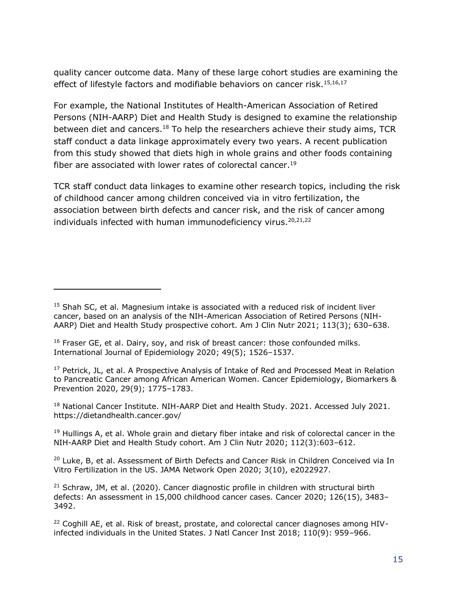quality cancer outcome data. Many of these large cohort studies are examining the effect of lifestyle factors and modifiable behaviors on cancer risk.<sup>15,16,17</sup>

For example, the National Institutes of Health-American Association of Retired Persons (NIH-AARP) Diet and Health Study is designed to examine the relationship between diet and cancers.<sup>18</sup> To help the researchers achieve their study aims, TCR staff conduct a data linkage approximately every two years. A recent publication from this study showed that diets high in whole grains and other foods containing fiber are associated with lower rates of colorectal cancer.<sup>19</sup>

TCR staff conduct data linkages to examine other research topics, including the risk of childhood cancer among children conceived via in vitro fertilization, the association between birth defects and cancer risk, and the risk of cancer among individuals infected with human immunodeficiency virus. $20,21,22$ 

 $17$  Petrick, JL, et al. A Prospective Analysis of Intake of Red and Processed Meat in Relation to Pancreatic Cancer among African American Women. Cancer Epidemiology, Biomarkers & Prevention 2020, 29(9); 1775–1783.

<sup>18</sup> National Cancer Institute. NIH-AARP Diet and Health Study. 2021. Accessed July 2021. https://dietandhealth.cancer.gov/

 $19$  Hullings A, et al. Whole grain and dietary fiber intake and risk of colorectal cancer in the NIH-AARP Diet and Health Study cohort. Am J Clin Nutr 2020; 112(3):603–612.

 $20$  Luke, B, et al. Assessment of Birth Defects and Cancer Risk in Children Conceived via In Vitro Fertilization in the US. JAMA Network Open 2020; 3(10), e2022927.

 $15$  Shah SC, et al. Magnesium intake is associated with a reduced risk of incident liver cancer, based on an analysis of the NIH-American Association of Retired Persons (NIH-AARP) Diet and Health Study prospective cohort. Am J Clin Nutr 2021; 113(3); 630–638.

 $16$  Fraser GE, et al. Dairy, soy, and risk of breast cancer: those confounded milks. International Journal of Epidemiology 2020; 49(5); 1526–1537.

 $21$  Schraw, JM, et al. (2020). Cancer diagnostic profile in children with structural birth defects: An assessment in 15,000 childhood cancer cases. Cancer 2020; 126(15), 3483– 3492.

<sup>&</sup>lt;sup>22</sup> Coghill AE, et al. Risk of breast, prostate, and colorectal cancer diagnoses among HIVinfected individuals in the United States. J Natl Cancer Inst 2018; 110(9): 959–966.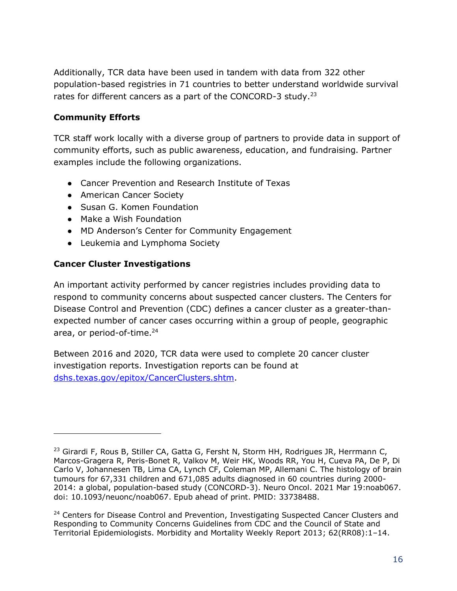Additionally, TCR data have been used in tandem with data from 322 other population-based registries in 71 countries to better understand worldwide survival rates for different cancers as a part of the CONCORD-3 study.<sup>23</sup>

#### **Community Efforts**

TCR staff work locally with a diverse group of partners to provide data in support of community efforts, such as public awareness, education, and fundraising. Partner examples include the following organizations.

- Cancer Prevention and Research Institute of Texas
- American Cancer Society
- Susan G. Komen Foundation
- Make a Wish Foundation
- MD Anderson's Center for Community Engagement
- Leukemia and Lymphoma Society

#### **Cancer Cluster Investigations**

An important activity performed by cancer registries includes providing data to respond to community concerns about suspected cancer clusters. The Centers for Disease Control and Prevention (CDC) defines a cancer cluster as a greater-thanexpected number of cancer cases occurring within a group of people, geographic area, or period-of-time.<sup>24</sup>

Between 2016 and 2020, TCR data were used to complete 20 cancer cluster investigation reports. Investigation reports can be found at [dshs.texas.gov/epitox/CancerClusters.shtm.](http://dshs.texas.gov/epitox/CancerClusters.shtm)

<sup>&</sup>lt;sup>23</sup> Girardi F, Rous B, Stiller CA, Gatta G, Fersht N, Storm HH, Rodrigues JR, Herrmann C, Marcos-Gragera R, Peris-Bonet R, Valkov M, Weir HK, Woods RR, You H, Cueva PA, De P, Di Carlo V, Johannesen TB, Lima CA, Lynch CF, Coleman MP, Allemani C. The histology of brain tumours for 67,331 children and 671,085 adults diagnosed in 60 countries during 2000- 2014: a global, population-based study (CONCORD-3). Neuro Oncol. 2021 Mar 19:noab067. doi: 10.1093/neuonc/noab067. Epub ahead of print. PMID: 33738488.

<sup>&</sup>lt;sup>24</sup> Centers for Disease Control and Prevention, Investigating Suspected Cancer Clusters and Responding to Community Concerns Guidelines from CDC and the Council of State and Territorial Epidemiologists. Morbidity and Mortality Weekly Report 2013; 62(RR08):1–14.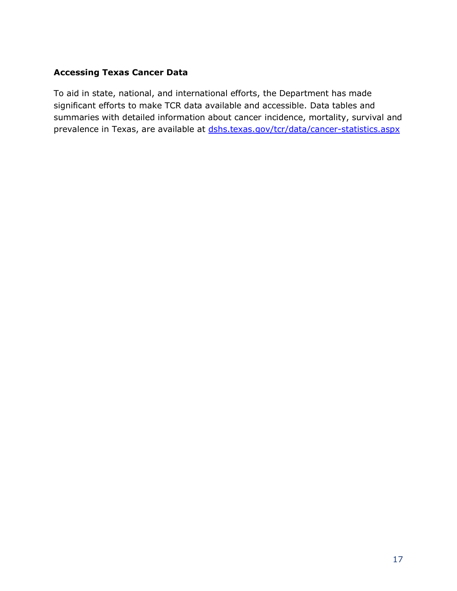#### **Accessing Texas Cancer Data**

To aid in state, national, and international efforts, the Department has made significant efforts to make TCR data available and accessible. Data tables and summaries with detailed information about cancer incidence, mortality, survival and prevalence in Texas, are available at [dshs.texas.gov/tcr/data/cancer-statistics.aspx](https://www.dshs.texas.gov/tcr/data/cancer-statistics.aspx)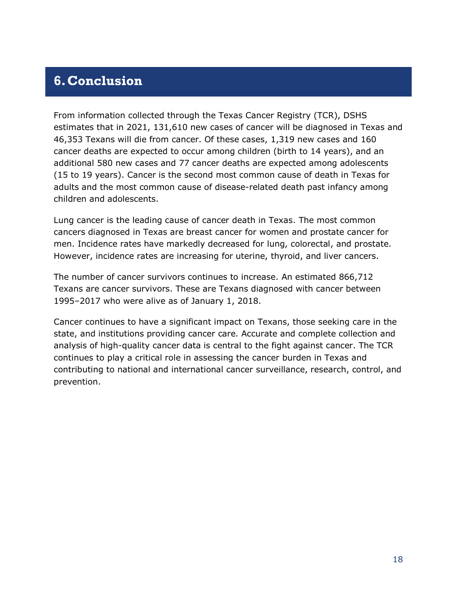### <span id="page-18-0"></span>**6.Conclusion**

From information collected through the Texas Cancer Registry (TCR), DSHS estimates that in 2021, 131,610 new cases of cancer will be diagnosed in Texas and 46,353 Texans will die from cancer. Of these cases, 1,319 new cases and 160 cancer deaths are expected to occur among children (birth to 14 years), and an additional 580 new cases and 77 cancer deaths are expected among adolescents (15 to 19 years). Cancer is the second most common cause of death in Texas for adults and the most common cause of disease-related death past infancy among children and adolescents.

Lung cancer is the leading cause of cancer death in Texas. The most common cancers diagnosed in Texas are breast cancer for women and prostate cancer for men. Incidence rates have markedly decreased for lung, colorectal, and prostate. However, incidence rates are increasing for uterine, thyroid, and liver cancers.

The number of cancer survivors continues to increase. An estimated 866,712 Texans are cancer survivors. These are Texans diagnosed with cancer between 1995–2017 who were alive as of January 1, 2018.

Cancer continues to have a significant impact on Texans, those seeking care in the state, and institutions providing cancer care. Accurate and complete collection and analysis of high-quality cancer data is central to the fight against cancer. The TCR continues to play a critical role in assessing the cancer burden in Texas and contributing to national and international cancer surveillance, research, control, and prevention.